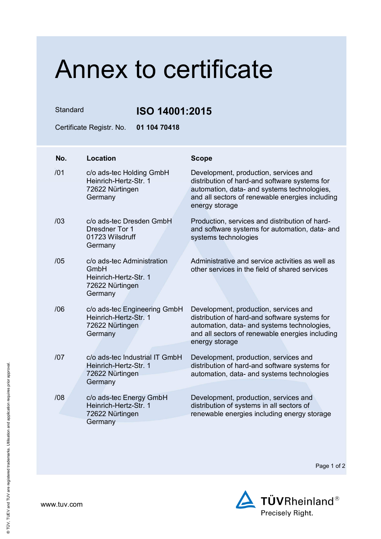## Annex to certificate

Standard **ISO 14001:2015**

Certificate Registr. No. **01 104 70418** 

| No. | <b>Location</b>                                                                           | <b>Scope</b>                                                                                                                                                                                               |
|-----|-------------------------------------------------------------------------------------------|------------------------------------------------------------------------------------------------------------------------------------------------------------------------------------------------------------|
| /01 | c/o ads-tec Holding GmbH<br>Heinrich-Hertz-Str. 1<br>72622 Nürtingen<br>Germany           | Development, production, services and<br>distribution of hard-and software systems for<br>automation, data- and systems technologies,<br>and all sectors of renewable energies including<br>energy storage |
| /03 | c/o ads-tec Dresden GmbH<br><b>Dresdner Tor 1</b><br>01723 Wilsdruff<br>Germany           | Production, services and distribution of hard-<br>and software systems for automation, data- and<br>systems technologies                                                                                   |
| /05 | c/o ads-tec Administration<br>GmbH<br>Heinrich-Hertz-Str. 1<br>72622 Nürtingen<br>Germany | Administrative and service activities as well as<br>other services in the field of shared services                                                                                                         |
| /06 | c/o ads-tec Engineering GmbH<br>Heinrich-Hertz-Str. 1<br>72622 Nürtingen<br>Germany       | Development, production, services and<br>distribution of hard-and software systems for<br>automation, data- and systems technologies,<br>and all sectors of renewable energies including<br>energy storage |
| 107 | c/o ads-tec Industrial IT GmbH<br>Heinrich-Hertz-Str. 1<br>72622 Nürtingen<br>Germany     | Development, production, services and<br>distribution of hard-and software systems for<br>automation, data- and systems technologies                                                                       |
| /08 | c/o ads-tec Energy GmbH<br>Heinrich-Hertz-Str. 1<br>72622 Nürtingen<br>Germany            | Development, production, services and<br>distribution of systems in all sectors of<br>renewable energies including energy storage                                                                          |

Page 1 of 2